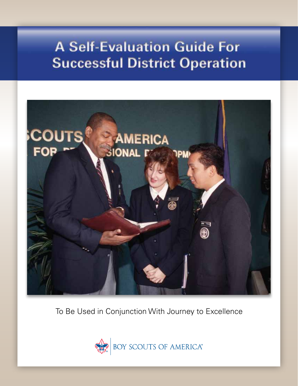# **A Self-Evaluation Guide For Successful District Operation**



To Be Used in Conjunction With Journey to Excellence



BOY SCOUTS OF AMERICA®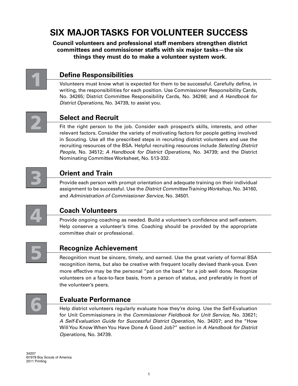# **Six Major Tasks for Volunteer Success**

**Council volunteers and professional staff members strengthen district committees and commissioner staffs with six major tasks—the six things they must do to make a volunteer system work.**



# **Define Responsibilities**

Volunteers must know what is expected for them to be successful. Carefully define, in writing, the responsibilities for each position. Use Commissioner Responsibility Cards, No. 34265; District Committee Responsibility Cards, No. 34266; and *A Handbook for District Operations*, No. 34739, to assist you.



## **Select and Recruit**

Fit the right person to the job. Consider each prospect's skills, interests, and other relevant factors. Consider the variety of motivating factors for people getting involved in Scouting. Use all the prescribed steps in recruiting district volunteers and use the recruiting resources of the BSA. Helpful recruiting resources include *Selecting District People,* No. 34512; *A Handbook for District Operations,* No. 34739; and the District Nominating Committee Worksheet, No. 513-332.



# **Orient and Train**

Provide each person with prompt orientation and adequate training on their individual assignment to be successful. Use the *District Committee Training Workshop,* No. 34160, and *Administration of Commissioner Service,* No. 34501.



# **Coach Volunteers**

Provide ongoing coaching as needed. Build a volunteer's confidence and self-esteem. Help conserve a volunteer's time. Coaching should be provided by the appropriate committee chair or professional.



# **Recognize Achievement**

Recognition must be sincere, timely, and earned. Use the great variety of formal BSA recognition items, but also be creative with frequent locally devised thank-yous. Even more effective may be the personal "pat on the back" for a job well done. Recognize volunteers on a face-to-face basis, from a person of status, and preferably in front of the volunteer's peers.



### **Evaluate Performance**

Help district volunteers regularly evaluate how they're doing. Use the Self-Evaluation for Unit Commissioners in the *Commissioner Fieldbook for Unit Service,* No. 33621; *A Self-Evaluation Guide for Successful District Operation*, No. 34207; and the "How Will You Know When You Have Done A Good Job?" section in *A Handbook for District Operations*, No. 34739.

34207 ©1978 Boy Scouts of America 2011 Printing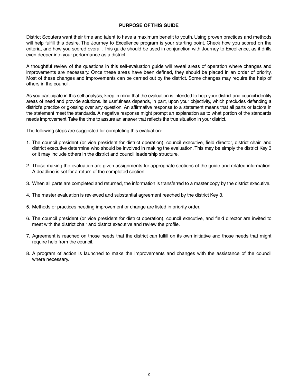#### **PURPOSE OF THIS GUIDE**

District Scouters want their time and talent to have a maximum benefit to youth. Using proven practices and methods will help fulfill this desire. The Journey to Excellence program is your starting point. Check how you scored on the criteria, and how you scored overall. This guide should be used in conjunction with Journey to Excellence, as it drills even deeper into your performance as a district.

A thoughtful review of the questions in this self-evaluation guide will reveal areas of operation where changes and improvements are necessary. Once these areas have been defined, they should be placed in an order of priority. Most of these changes and improvements can be carried out by the district. Some changes may require the help of others in the council.

As you participate in this self-analysis, keep in mind that the evaluation is intended to help your district and council identify areas of need and provide solutions. Its usefulness depends, in part, upon your objectivity, which precludes defending a district's practice or glossing over any question. An affirmative response to a statement means that all parts or factors in the statement meet the standards. A negative response might prompt an explanation as to what portion of the standards needs improvement. Take the time to assure an answer that reflects the true situation in your district.

The following steps are suggested for completing this evaluation:

- 1. The council president (or vice president for district operation), council executive, field director, district chair, and district executive determine who should be involved in making the evaluation. This may be simply the district Key 3 or it may include others in the district and council leadership structure.
- 2. Those making the evaluation are given assignments for appropriate sections of the guide and related information. A deadline is set for a return of the completed section.
- 3. When all parts are completed and returned, the information is transferred to a master copy by the district executive.
- 4. The master evaluation is reviewed and substantial agreement reached by the district Key 3.
- 5. Methods or practices needing improvement or change are listed in priority order.
- 6. The council president (or vice president for district operation), council executive, and field director are invited to meet with the district chair and district executive and review the profile.
- 7. Agreement is reached on those needs that the district can fulfill on its own initiative and those needs that might require help from the council.
- 8. A program of action is launched to make the improvements and changes with the assistance of the council where necessary.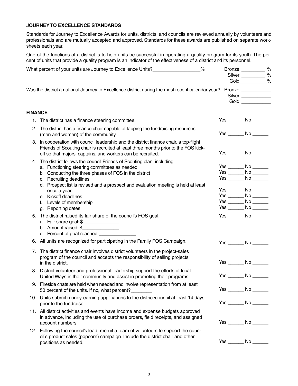#### **Journey to excellence standards**

Standards for Journey to Excellence Awards for units, districts, and councils are reviewed annually by volunteers and professionals and are mutually accepted and approved. Standards for these awards are published on separate worksheets each year.

One of the functions of a district is to help units be successful in operating a quality program for its youth. The percent of units that provide a quality program is an indicator of the effectiveness of a district and its personnel.

|                | $\%$<br>What percent of your units are Journey to Excellence Units?_____________________                                                                                                                                                     | Bronze __________ %<br>Silver __________ %<br>Gold __________ % |  |
|----------------|----------------------------------------------------------------------------------------------------------------------------------------------------------------------------------------------------------------------------------------------|-----------------------------------------------------------------|--|
|                | Was the district a national Journey to Excellence district during the most recent calendar year?                                                                                                                                             | Bronze<br>Silver<br>Gold $\qquad$                               |  |
| <b>FINANCE</b> |                                                                                                                                                                                                                                              |                                                                 |  |
|                | 1. The district has a finance steering committee.                                                                                                                                                                                            | Yes ________ No _______                                         |  |
| 2.             | The district has a finance chair capable of tapping the fundraising resources<br>(men and women) of the community.                                                                                                                           | $Yes$ No $\_\_\_\_\$                                            |  |
|                | 3. In cooperation with council leadership and the district finance chair, a top-flight<br>Friends of Scouting chair is recruited at least three months prior to the FOS kick-<br>off so that majors, captains, and workers can be recruited. | Yes ________ No _______                                         |  |
|                | 4. The district follows the council Friends of Scouting plan, including:                                                                                                                                                                     |                                                                 |  |
|                | a. Functioning steering committees as needed                                                                                                                                                                                                 | Yes ________ No _______<br>Yes ________ No _______              |  |
|                | b. Conducting the three phases of FOS in the district<br>c. Recruiting deadlines                                                                                                                                                             |                                                                 |  |
|                | d. Prospect list is revised and a prospect and evaluation meeting is held at least                                                                                                                                                           |                                                                 |  |
|                | once a year                                                                                                                                                                                                                                  |                                                                 |  |
|                | e. Kickoff deadlines                                                                                                                                                                                                                         | $Yes$ No $\_\_\_\_\$                                            |  |
|                | f. Levels of membership                                                                                                                                                                                                                      | $Yes$ No $\_\_\_\_\$                                            |  |
|                | g. Reporting dates                                                                                                                                                                                                                           |                                                                 |  |
| 5.             | The district raised its fair share of the council's FOS goal.<br>a. Fair share goal: \$<br>b. Amount raised: $\frac{1}{2}$<br>c. Percent of goal reached: <b>cancel</b>                                                                      | $Yes$ No $\qquad$                                               |  |
|                | 6. All units are recognized for participating in the Family FOS Campaign.                                                                                                                                                                    | Yes ________ No _______                                         |  |
|                | 7. The district finance chair involves district volunteers in the project-sales<br>program of the council and accepts the responsibility of selling projects<br>in the district.                                                             | Yes No                                                          |  |
|                | 8. District volunteer and professional leadership support the efforts of local<br>United Ways in their community and assist in promoting their programs.                                                                                     | $Yes$ No $\qquad$                                               |  |
|                | 9. Fireside chats are held when needed and involve representation from at least<br>50 percent of the units. If no, what percent?                                                                                                             |                                                                 |  |
|                | 10. Units submit money-earning applications to the district/council at least 14 days<br>prior to the fundraiser.                                                                                                                             | $Yes$ No $\qquad$                                               |  |
|                | 11. All district activities and events have income and expense budgets approved<br>in advance, including the use of purchase orders, field receipts, and assigned<br>account numbers.                                                        | $Yes$ No $\_\_\_\_\$                                            |  |
|                | 12. Following the council's lead, recruit a team of volunteers to support the coun-<br>cil's product sales (popcorn) campaign. Include the district chair and other<br>positions as needed.                                                  | $Yes$ No $\rule{1em}{0.15mm}$ No $\rule{1.5mm}{0.15mm}$         |  |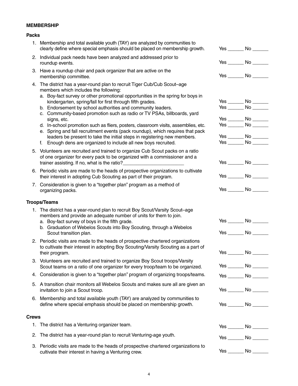#### **MEMBERSHIP**

#### **Packs**

|              | 1. Membership and total available youth (TAY) are analyzed by communities to<br>clearly define where special emphasis should be placed on membership growth.                                         | $Yes$ No $\qquad$                                       |
|--------------|------------------------------------------------------------------------------------------------------------------------------------------------------------------------------------------------------|---------------------------------------------------------|
|              | 2. Individual pack needs have been analyzed and addressed prior to<br>roundup events.                                                                                                                | Yes ________ No _______                                 |
|              | 3. Have a roundup chair and pack organizer that are active on the<br>membership committee.                                                                                                           | $Yes \tNo \t$                                           |
|              | 4. The district has a year-round plan to recruit Tiger Cub/Cub Scout-age<br>members which includes the following:<br>a. Boy-fact survey or other promotional opportunities in the spring for boys in |                                                         |
|              | kindergarten, spring/fall for first through fifth grades.                                                                                                                                            | Yes ________ No _______                                 |
|              | b. Endorsement by school authorities and community leaders.<br>c. Community-based promotion such as radio or TV PSAs, billboards, yard                                                               | $Yes$ No $\rule{1em}{0.15mm}$ No $\rule{1.5mm}{0.15mm}$ |
|              | signs, etc.                                                                                                                                                                                          | Yes ________ No _______                                 |
|              | d. In-school promotion such as fliers, posters, classroom visits, assemblies, etc.<br>e. Spring and fall recruitment events (pack roundup), which requires that pack                                 | Yes ________ No _______                                 |
|              | leaders be present to take the initial steps in registering new members.                                                                                                                             | Yes ________ No _______                                 |
|              | f.<br>Enough dens are organized to include all new boys recruited.                                                                                                                                   | $Yes$ No $\_\_\_\_\$                                    |
|              | 5. Volunteers are recruited and trained to organize Cub Scout packs on a ratio<br>of one organizer for every pack to be organized with a commissioner and a                                          | Yes ________ No _______                                 |
|              |                                                                                                                                                                                                      |                                                         |
|              | 6. Periodic visits are made to the heads of prospective organizations to cultivate<br>their interest in adopting Cub Scouting as part of their program.                                              |                                                         |
|              | 7. Consideration is given to a "together plan" program as a method of<br>organizing packs.                                                                                                           |                                                         |
|              | <b>Troops/Teams</b>                                                                                                                                                                                  |                                                         |
|              |                                                                                                                                                                                                      |                                                         |
|              |                                                                                                                                                                                                      |                                                         |
|              | 1. The district has a year-round plan to recruit Boy Scout/Varsity Scout-age<br>members and provide an adequate number of units for them to join.<br>a. Boy-fact survey of boys in the fifth grade.  | Yes ________ No _______                                 |
|              | b. Graduation of Webelos Scouts into Boy Scouting, through a Webelos<br>Scout transition plan.                                                                                                       | $Yes$ No $\qquad$                                       |
|              | 2. Periodic visits are made to the heads of prospective chartered organizations<br>to cultivate their interest in adopting Boy Scouting/Varsity Scouting as a part of<br>their program.              |                                                         |
|              | 3. Volunteers are recruited and trained to organize Boy Scout troops/Varsity<br>Scout teams on a ratio of one organizer for every troop/team to be organized.                                        | $Yes$ No $\rule{1em}{0.15mm}$ No $\rule{1.5mm}{0.15mm}$ |
|              | 4. Consideration is given to a "together plan" program of organizing troops/teams.                                                                                                                   |                                                         |
|              | 5. A transition chair monitors all Webelos Scouts and makes sure all are given an<br>invitation to join a Scout troop.                                                                               | Yes ________ No _______<br>Yes ________ No _______      |
|              | 6. Membership and total available youth (TAY) are analyzed by communities to<br>define where special emphasis should be placed on membership growth.                                                 | $Yes$ No $\qquad$                                       |
| <b>Crews</b> |                                                                                                                                                                                                      |                                                         |
| 1.           | The district has a Venturing organizer team.                                                                                                                                                         | Yes ________ No _______                                 |
| 2.           | The district has a year-round plan to recruit Venturing-age youth.                                                                                                                                   | $Yes$ No $\_\_\_\_\$                                    |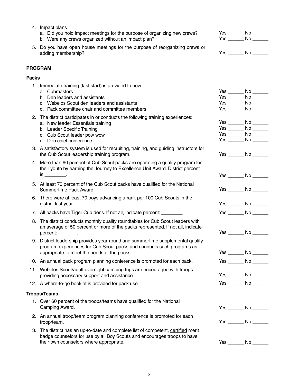|              | 5. Do you have open house meetings for the purpose of reorganizing crews or<br>adding membership?                                                                                                             |            | $Yes$ No $\_\_\_\_\$                                                                             |
|--------------|---------------------------------------------------------------------------------------------------------------------------------------------------------------------------------------------------------------|------------|--------------------------------------------------------------------------------------------------|
|              | <b>PROGRAM</b>                                                                                                                                                                                                |            |                                                                                                  |
| <b>Packs</b> |                                                                                                                                                                                                               |            |                                                                                                  |
|              | 1. Immediate training (fast start) is provided to new<br>a. Cubmasters<br>b. Den leaders and assistants<br>c. Webelos Scout den leaders and assistants<br>d. Pack committee chair and committee members       |            |                                                                                                  |
|              | 2. The district participates in or conducts the following training experiences:<br>a. New leader Essentials training<br>b. Leader Specific Training<br>c. Cub Scout leader pow wow<br>d. Den chief conference |            | Yes $\rule{1em}{0.15mm}$ No $\rule{1em}{0.15mm}$<br>Yes ________ No _______<br>$Yes$ No $\qquad$ |
|              | 3. A satisfactory system is used for recruiting, training, and guiding instructors for<br>the Cub Scout leadership training program.                                                                          |            | $Yes$ No $\qquad$                                                                                |
|              | 4. More than 60 percent of Cub Scout packs are operating a quality program for<br>their youth by earning the Journey to Excellence Unit Award. District percent<br>$is$ _____________.                        |            | $Yes$ No $\qquad$                                                                                |
|              | 5. At least 70 percent of the Cub Scout packs have qualified for the National<br>Summertime Pack Award.                                                                                                       |            | $Yes$ No $\qquad$                                                                                |
|              | 6. There were at least 70 boys advancing a rank per 100 Cub Scouts in the<br>district last year.                                                                                                              |            | $Yes$ No $\rule{1em}{0.15mm}$ No $\rule{1.5mm}{0.15mm}$                                          |
|              | 7. All packs have Tiger Cub dens. If not all, indicate percent: ________                                                                                                                                      |            | $Yes$ No $\qquad$                                                                                |
|              | 8. The district conducts monthly quality roundtables for Cub Scout leaders with<br>an average of 50 percent or more of the packs represented. If not all, indicate<br>percent: ________.                      |            | $Yes$ No $\_\_\_\_\$                                                                             |
|              | 9. District leadership provides year-round and summertime supplemental quality<br>program experiences for Cub Scout packs and conducts such programs as<br>appropriate to meet the needs of the packs.        |            | $Yes \tNo \t$                                                                                    |
|              | 10. An annual pack program planning conference is promoted for each pack.                                                                                                                                     | $Yes \_\_$ | $No-$                                                                                            |
|              | 11. Webelos Scout/adult overnight camping trips are encouraged with troops<br>providing necessary support and assistance.                                                                                     |            | Yes ________ No _______                                                                          |
|              | 12. A where-to-go booklet is provided for pack use.                                                                                                                                                           |            | Yes ________ No _______                                                                          |
|              | <b>Troops/Teams</b>                                                                                                                                                                                           |            |                                                                                                  |
|              | 1. Over 60 percent of the troops/teams have qualified for the National<br>Camping Award.                                                                                                                      |            | $Yes$ No $\_\_\_\_\$                                                                             |
|              | 2. An annual troop/team program planning conference is promoted for each<br>troop/team.                                                                                                                       |            | Yes ________ No _______                                                                          |
|              | 3. The district has an up-to-date and complete list of competent, certified merit<br>badge counselors for use by all Boy Scouts and encourages troops to have<br>their own counselors where appropriate.      |            |                                                                                                  |

a. Did you hold impact meetings for the purpose of organizing new crews?

Yes \_\_\_\_\_\_ No \_\_\_\_\_\_ Yes \_\_\_\_\_\_ No \_\_\_\_\_\_

b. Were any crews organized without an impact plan?

4. Impact plans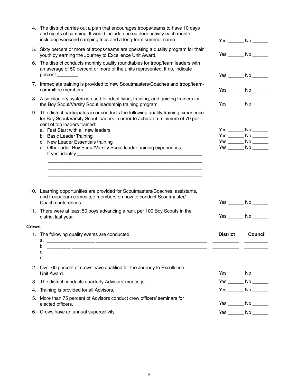|              | 4. The district carries out a plan that encourages troops/teams to have 10 days<br>and nights of camping. It would include one outdoor activity each month<br>including weekend camping trips and a long-term summer camp. |                 | $Yes$ No $\_\_\_\_\$    |
|--------------|----------------------------------------------------------------------------------------------------------------------------------------------------------------------------------------------------------------------------|-----------------|-------------------------|
|              | 5. Sixty percent or more of troops/teams are operating a quality program for their<br>youth by earning the Journey to Excellence Unit Award.                                                                               |                 | $Yes$ No $\qquad$       |
|              | 6. The district conducts monthly quality roundtables for troop/team leaders with<br>an average of 50 percent or more of the units represented. If no, indicate<br>percent: _________.                                      |                 | $Yes$ No $\_\_\_\_\$    |
|              | 7. Immediate training is provided to new Scoutmasters/Coaches and troop/team-<br>committee members.                                                                                                                        |                 | $Yes$ No $\qquad$       |
|              | 8. A satisfactory system is used for identifying, training, and guiding trainers for<br>the Boy Scout/Varsity Scout leadership training program.                                                                           |                 | Yes ________ No _______ |
| 9.           | The district participates in or conducts the following quality training experience<br>for Boy Scout/Varsity Scout leaders in order to achieve a minimum of 70 per-<br>cent of top leaders trained:                         |                 |                         |
|              | a. Fast Start with all new leaders                                                                                                                                                                                         |                 | Yes ________ No _______ |
|              | b. Basic Leader Training                                                                                                                                                                                                   |                 | Yes ________ No _______ |
|              | c. New Leader Essentials training                                                                                                                                                                                          |                 | $Yes$ No $\_\_\_\_\$    |
|              | d. Other adult Boy Scout/Varsity Scout leader training experiences.                                                                                                                                                        |                 | $Yes$ No $\qquad$       |
|              | 10. Learning opportunities are provided for Scoutmasters/Coaches, assistants,<br>and troop/team committee members on how to conduct Scoutmaster/<br>Coach conferences.                                                     |                 | Yes ________ No _______ |
|              | 11. There were at least 50 boys advancing a rank per 100 Boy Scouts in the<br>district last year.                                                                                                                          |                 | Yes ________ No _______ |
| <b>Crews</b> |                                                                                                                                                                                                                            |                 |                         |
|              | 1. The following quality events are conducted:<br>b.                                                                                                                                                                       | <b>District</b> | <b>Council</b>          |
|              | $C.$ $\qquad \qquad$                                                                                                                                                                                                       |                 |                         |
|              | 2. Over 60 percent of crews have qualified for the Journey to Excellence<br>Unit Award.                                                                                                                                    |                 | Yes ________ No _______ |
| 3.           | The district conducts quarterly Advisors' meetings.                                                                                                                                                                        |                 | Yes ________ No _______ |
| 4.           | Training is provided for all Advisors.                                                                                                                                                                                     |                 | $Yes$ No $\_\_\_\_\$    |
| 5.           | More than 75 percent of Advisors conduct crew officers' seminars for<br>elected officers.                                                                                                                                  |                 | Yes ________ No _______ |
|              | 6. Crews have an annual superactivity.                                                                                                                                                                                     |                 | Yes ________ No _______ |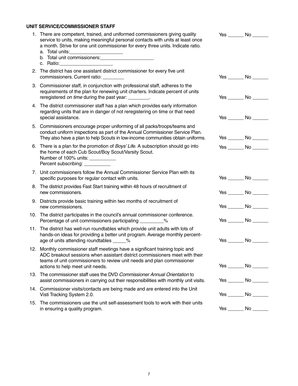#### **UNIT SERVICE/Commissioner Staff**

|    | 1. There are competent, trained, and uniformed commissioners giving quality<br>service to units, making meaningful personal contacts with units at least once<br>a month. Strive for one unit commissioner for every three units. Indicate ratio.<br>c. Ratio:__________________________ | Yes No                  |
|----|------------------------------------------------------------------------------------------------------------------------------------------------------------------------------------------------------------------------------------------------------------------------------------------|-------------------------|
|    | 2. The district has one assistant district commissioner for every five unit<br>commissioners. Current ratio: _________                                                                                                                                                                   | $Yes$ No $\_\_\_\_\$    |
|    | 3. Commissioner staff, in conjunction with professional staff, adheres to the<br>requirements of the plan for renewing unit charters. Indicate percent of units<br>reregistered on time during the past year: ________.                                                                  | $Yes$ No $\_\_\_\_\$    |
|    | 4. The district commissioner staff has a plan which provides early information<br>regarding units that are in danger of not reregistering on time or that need<br>special assistance.                                                                                                    | $Yes$ No $\qquad$       |
|    | 5. Commissioners encourage proper uniforming of all packs/troops/teams and<br>conduct uniform inspections as part of the Annual Commissioner Service Plan.<br>They also have a plan to help Scouts in low-income communities obtain uniforms.                                            | $Yes$ No $\qquad$       |
|    | 6. There is a plan for the promotion of Boys' Life. A subscription should go into<br>the home of each Cub Scout/Boy Scout/Varsity Scout.<br>Number of 100% units: __________<br>Percent subscribing: ___________                                                                         | Yes ________ No _______ |
|    | 7. Unit commissioners follow the Annual Commissioner Service Plan with its<br>specific purposes for regular contact with units.                                                                                                                                                          | Yes ________ No _______ |
| 8. | The district provides Fast Start training within 48 hours of recruitment of<br>new commissioners.                                                                                                                                                                                        | $Yes$ No $\qquad$       |
|    | 9. Districts provide basic training within two months of recruitment of<br>new commissioners.                                                                                                                                                                                            | Yes ________ No _______ |
|    | 10. The district participates in the council's annual commissioner conference.<br>Percentage of unit commissioners participating __________%                                                                                                                                             | $Yes$ No $\qquad$       |
|    | 11. The district has well-run roundtables which provide unit adults with lots of<br>hands-on ideas for providing a better unit program. Average monthly percent-<br>age of units attending roundtables _____%                                                                            | Yes ________ No _______ |
|    | 12. Monthly commissioner staff meetings have a significant training topic and<br>ADC breakout sessions when assistant district commissioners meet with their<br>teams of unit commissioners to review unit needs and plan commissioner<br>actions to help meet unit needs.               | Yes ________ No _______ |
|    | 13. The commissioner staff uses the DVD Commissioner Annual Orientation to<br>assist commissioners in carrying out their responsibilities with monthly unit visits.                                                                                                                      | Yes ________ No _______ |
|    | 14. Commissioner visits/contacts are being made and are entered into the Unit<br>Visti Tracking System 2.0.                                                                                                                                                                              | $Yes$ No $\qquad$       |
|    | 15. The commissioners use the unit self-assessment tools to work with their units<br>in ensuring a quality program.                                                                                                                                                                      | Yes ________ No _______ |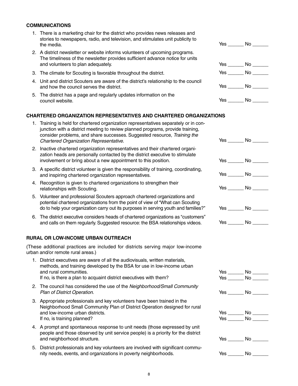#### **COMMUNICATIONS**

- 1. There is a marketing chair for the district who provides news releases and stories to newspapers, radio, and television, and stimulates unit publicity to the media. The media. The set of the set of the set of the set of the set of the set of the set of the set of the set of the set of the set of the set of the set of the set of the set of the set of the set of the set of th
- 2. A district newsletter or website informs volunteers of upcoming programs. The timeliness of the newsletter provides sufficient advance notice for units and volunteers to plan adequately.
- 3. The climate for Scouting is favorable throughout the district.
- 4. Unit and district Scouters are aware of the district's relationship to the council and how the council serves the district.
- 5. The district has a page and regularly updates information on the council website. The council website. The council website. The council website. The version of  $\sim$  No  $\sim$

#### **CHARTERED ORGANIZATION REPRESENTATIVES AND CHARTERED ORGANIZATIONS**

| 1. Training is held for chartered organization representatives separately or in con- |     |    |  |
|--------------------------------------------------------------------------------------|-----|----|--|
| junction with a district meeting to review planned programs, provide training,       |     |    |  |
| consider problems, and share successes. Suggested resource, Training the             |     |    |  |
| Chartered Organization Representative.                                               | Yes | Nο |  |

- 2. Inactive chartered organization representatives and their chartered organization heads are personally contacted by the district executive to stimulate involvement or bring about a new appointment to this position.
- 3. A specific district volunteer is given the responsibility of training, coordinating, and inspiring chartered organization representatives.
- 4. Recognition is given to chartered organizations to strengthen their relationships with Scouting.
- 5. Volunteer and professional Scouters approach chartered organizations and potential chartered organizations from the point of view of ''What can Scouting do to help your organization carry out its purposes in serving youth and families?"
- 6. The district executive considers heads of chartered organizations as ''customers'' and calls on them regularly. Suggested resource: the BSA relationships videos.

#### **RURAL OR LOW-INCOME URBAN OUTREACH**

(These additional practices are included for districts serving major low-income urban and/or remote rural areas.)

- 1. District executives are aware of all the audiovisuals, written materials, methods, and training developed by the BSA for use in low-income urban and rural communities.
	- If no, is there a plan to acquaint district executives with them?
- 2. The council has considered the use of the *Neighborhood/Small Community*  **Plan of District Operation.**
- 3. Appropriate professionals and key volunteers have been trained in the Neighborhood Small Community Plan of District Operation designed for rural and low-income urban districts. If no, is training planned?
- 4. A prompt and spontaneous response to unit needs (those expressed by unit people and those observed by unit service people) is a priority for the district and neighborhood structure.
- 5. District professionals and key volunteers are involved with significant community needs, events, and organizations in poverty neighborhoods.

|     | Yes $\_\_$ | No $\_\_$       |
|-----|------------|-----------------|
| Yes | Yes $\_\_$ | No $\_\_$<br>No |

| Yes ________ No _______ |
|-------------------------|
| Yes ________ No _______ |
| Yes ________ No _______ |
| Yes ________ No _______ |
| $Yes$ No $\qquad$       |
| $Yes$ No $\_\_\_\_\$    |
|                         |
| Yes _______ No ______   |
| $Yes$ No $\qquad$       |
| Yes ________ No _______ |
| Yes _______ No _______  |

| . <i>.</i><br>$\sim$<br>-- | . . |  |
|----------------------------|-----|--|
|                            |     |  |

| т<br>$\sim$<br>۰.<br>× | ., |
|------------------------|----|
|------------------------|----|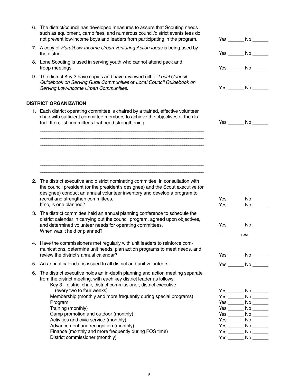- 6. The district/council has developed measures to assure that Scouting needs such as equipment, camp fees, and numerous council/district events fees do not prevent low-income boys and leaders from participating in the program.
- 7. A copy of *Rural/Low-Income Urban Venturing Action Ideas* is being used by the district. The district.
- 8. Lone Scouting is used in serving youth who cannot attend pack and troop meetings.
- 9. The district Key 3 have copies and have reviewed either *Local Council Guidebook on Serving Rural Communities* or *Local Council Guidebook on Serving Low-Income Urban Communities.*

#### **DISTRICT ORGANIZATION**

1. Each district operating committee is chaired by a trained, effective volunteer chair with sufficient committee members to achieve the objectives of the district. If no, list committees that need strengthening:

\_\_\_\_\_\_\_\_\_\_\_\_\_\_\_\_\_\_\_\_\_\_\_\_\_\_\_\_\_\_\_\_\_\_\_\_\_\_\_\_\_\_\_\_\_\_\_\_\_\_\_\_\_\_\_\_\_\_\_\_\_\_\_\_\_\_\_\_\_\_\_\_\_\_\_\_\_ \_\_\_\_\_\_\_\_\_\_\_\_\_\_\_\_\_\_\_\_\_\_\_\_\_\_\_\_\_\_\_\_\_\_\_\_\_\_\_\_\_\_\_\_\_\_\_\_\_\_\_\_\_\_\_\_\_\_\_\_\_\_\_\_\_\_\_\_\_\_\_\_\_\_\_\_\_ \_\_\_\_\_\_\_\_\_\_\_\_\_\_\_\_\_\_\_\_\_\_\_\_\_\_\_\_\_\_\_\_\_\_\_\_\_\_\_\_\_\_\_\_\_\_\_\_\_\_\_\_\_\_\_\_\_\_\_\_\_\_\_\_\_\_\_\_\_\_\_\_\_\_\_\_\_ \_\_\_\_\_\_\_\_\_\_\_\_\_\_\_\_\_\_\_\_\_\_\_\_\_\_\_\_\_\_\_\_\_\_\_\_\_\_\_\_\_\_\_\_\_\_\_\_\_\_\_\_\_\_\_\_\_\_\_\_\_\_\_\_\_\_\_\_\_\_\_\_\_\_\_\_\_ \_\_\_\_\_\_\_\_\_\_\_\_\_\_\_\_\_\_\_\_\_\_\_\_\_\_\_\_\_\_\_\_\_\_\_\_\_\_\_\_\_\_\_\_\_\_\_\_\_\_\_\_\_\_\_\_\_\_\_\_\_\_\_\_\_\_\_\_\_\_\_\_\_\_\_\_\_ \_\_\_\_\_\_\_\_\_\_\_\_\_\_\_\_\_\_\_\_\_\_\_\_\_\_\_\_\_\_\_\_\_\_\_\_\_\_\_\_\_\_\_\_\_\_\_\_\_\_\_\_\_\_\_\_\_\_\_\_\_\_\_\_\_\_\_\_\_\_\_\_\_\_\_\_\_ \_\_\_\_\_\_\_\_\_\_\_\_\_\_\_\_\_\_\_\_\_\_\_\_\_\_\_\_\_\_\_\_\_\_\_\_\_\_\_\_\_\_\_\_\_\_\_\_\_\_\_\_\_\_\_\_\_\_\_\_\_\_\_\_\_\_\_\_\_\_\_\_\_\_\_\_\_

- 2. The district executive and district nominating committee, in consultation with the council president (or the president's designee) and the Scout executive (or designee) conduct an annual volunteer inventory and develop a program to recruit and strengthen committees. If no, is one planned?
- 3. The district committee held an annual planning conference to schedule the district calendar in carrying out the council program, agreed upon objectives, and determined volunteer needs for operating committees. When was it held or planned?
- 4. Have the commissioners met regularly with unit leaders to reinforce communications, determine unit needs, plan action programs to meet needs, and review the district's annual calendar?
- 5. An annual calendar is issued to all district and unit volunteers.
- 6. The district executive holds an in-depth planning and action meeting separate from the district meeting, with each key district leader as follows: Key 3—district chair, district commissioner, district executive (every two to four weeks) Membership (monthly and more frequently during special programs) Program Training (monthly) Camp promotion and outdoor (monthly) Activities and civic service (monthly)
	- Advancement and recognition (monthly)
	- Finance (monthly and more frequently during FOS time) District commissioner (monthly)

| Yes ________ No _______ |
|-------------------------|
| Yes _______ No _______  |
| Yes ________ No _______ |
| Yes ________ No _______ |
| Yes _______ No _______  |
|                         |
|                         |
|                         |
| Yes ________ No _______ |
|                         |
| Yes ________ No _______ |
| Date                    |
|                         |
| Yes _______ No _______  |
|                         |
| Yes _______ No ______   |
|                         |
| Yes ________ No _______ |
| Yes ________ No _______ |
| Yes ________ No ______  |

Yes \_\_\_\_\_\_\_\_ No \_\_\_\_\_\_\_ Yes \_\_\_\_\_\_\_\_ No \_\_\_\_\_\_\_ Yes \_\_\_\_\_\_\_ No \_\_\_\_\_\_ Yes \_\_\_\_\_\_ No \_\_\_\_\_\_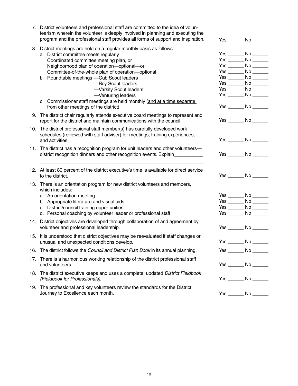| 7. District volunteers and professional staff are committed to the idea of volun-<br>teerism wherein the volunteer is deeply involved in planning and executing the<br>program and the professional staff provides all forms of support and inspiration.                                                                                                                                                                                                                                         |          | $Yes$ No $\_\_\_\_\$                                                                                                                                                                                                                                                                      |
|--------------------------------------------------------------------------------------------------------------------------------------------------------------------------------------------------------------------------------------------------------------------------------------------------------------------------------------------------------------------------------------------------------------------------------------------------------------------------------------------------|----------|-------------------------------------------------------------------------------------------------------------------------------------------------------------------------------------------------------------------------------------------------------------------------------------------|
| 8. District meetings are held on a regular monthly basis as follows:<br>a. District committee meets regularly<br>Coordinated committee meeting plan, or<br>Neighborhood plan of operation-optional-or<br>Committee-of-the-whole plan of operation-optional<br>b. Roundtable meetings -Cub Scout leaders<br>-Boy Scout leaders<br>-Varsity Scout leaders<br>-Venturing leaders<br>c. Commissioner staff meetings are held monthly (and at a time separate<br>from other meetings of the district) |          | Yes ________ No _______<br>Yes $\rule{1em}{0.15mm}$ No $\rule{1.5mm}{0.15mm}$<br>Yes $\rule{1em}{0.15mm}$ No $\rule{1.5mm}{0.15mm}$<br>$Yes$ No $\_\_\_\_\$<br>$Yes$ No $\_\_\_\_\$<br>Yes ________ No _______<br>$Yes$ No $\_\_\_\_\$<br>$Yes$ No $\_\_\_\_\$<br>Yes ________ No _______ |
| 9. The district chair regularly attends executive board meetings to represent and<br>report for the district and maintain communications with the council.                                                                                                                                                                                                                                                                                                                                       |          | $Yes$ No $\_\_\_\_\$                                                                                                                                                                                                                                                                      |
| 10. The district professional staff member(s) has carefully developed work<br>schedules (reviewed with staff adviser) for meetings, training experiences,<br>and activities.                                                                                                                                                                                                                                                                                                                     |          | $Yes$ No $\_\_\_\_\$                                                                                                                                                                                                                                                                      |
| 11. The district has a recognition program for unit leaders and other volunteers—<br>district recognition dinners and other recognition events. Explain_____________                                                                                                                                                                                                                                                                                                                             |          | Yes ________ No _______                                                                                                                                                                                                                                                                   |
| 12. At least 80 percent of the district executive's time is available for direct service<br>to the district.                                                                                                                                                                                                                                                                                                                                                                                     |          | $Yes \tNo \t$                                                                                                                                                                                                                                                                             |
| 13. There is an orientation program for new district volunteers and members,<br>which includes:<br>a. An orientation meeting<br>b. Appropriate literature and visual aids<br>c. District/council training opportunities<br>d. Personal coaching by volunteer leader or professional staff                                                                                                                                                                                                        |          | Yes ________ No _______<br>$Yes$ No $\_\_\_\_\$<br>Yes $\rule{1em}{0.15mm}$ No $\rule{1.5mm}{0.15mm}$<br>Yes $\rule{1em}{0.15mm}$ No $\rule{1.5mm}{0.15mm}$                                                                                                                               |
| 14. District objectives are developed through collaboration of and agreement by<br>volunteer and professional leadership.                                                                                                                                                                                                                                                                                                                                                                        |          | $Yes$ No $\qquad$                                                                                                                                                                                                                                                                         |
| 15. It is understood that district objectives may be reevaluated if staff changes or<br>unusual and unexpected conditions develop.                                                                                                                                                                                                                                                                                                                                                               | Yes ____ | $\_$ No $\_$                                                                                                                                                                                                                                                                              |
| 16. The district follows the Council and District Plan Book in its annual planning.                                                                                                                                                                                                                                                                                                                                                                                                              |          | $Yes$ No $\_\_\_\_\_\$                                                                                                                                                                                                                                                                    |
| 17. There is a harmonious working relationship of the district professional staff<br>and volunteers.                                                                                                                                                                                                                                                                                                                                                                                             |          | $Yes$ No $\_\_\_\_\$                                                                                                                                                                                                                                                                      |
| 18. The district executive keeps and uses a complete, updated District Fieldbook<br>(Fieldbook for Professionals).                                                                                                                                                                                                                                                                                                                                                                               |          | $Yes$ No $\qquad$                                                                                                                                                                                                                                                                         |
| 19. The professional and key volunteers review the standards for the District<br>Journey to Excellence each month.                                                                                                                                                                                                                                                                                                                                                                               | Yes $\_$ |                                                                                                                                                                                                                                                                                           |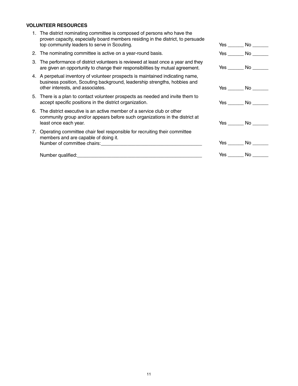### **VOLUNTEER RESOURCES**

| 1. The district nominating committee is composed of persons who have the<br>proven capacity, especially board members residing in the district, to persuade<br>top community leaders to serve in Scouting. | $Yes$ No $\_\_\_\_\$    |
|------------------------------------------------------------------------------------------------------------------------------------------------------------------------------------------------------------|-------------------------|
| 2. The nominating committee is active on a year-round basis.                                                                                                                                               | $Yes$ $No$ $\qquad$     |
| 3. The performance of district volunteers is reviewed at least once a year and they<br>are given an opportunity to change their responsibilities by mutual agreement.                                      | $Yes$ No $\qquad$       |
| 4. A perpetual inventory of volunteer prospects is maintained indicating name,<br>business position, Scouting background, leadership strengths, hobbies and<br>other interests, and associates.            | Yes No                  |
| 5. There is a plan to contact volunteer prospects as needed and invite them to<br>accept specific positions in the district organization.                                                                  | $Yes \tNo \t$           |
| 6. The district executive is an active member of a service club or other<br>community group and/or appears before such organizations in the district at<br>least once each year.                           | $Yes \tNo \t$           |
| 7. Operating committee chair feel responsible for recruiting their committee<br>members and are capable of doing it.<br>Number of committee chairs: Number of committee chairs:                            | $Yes$ No $\qquad$       |
|                                                                                                                                                                                                            | Yes ________ No _______ |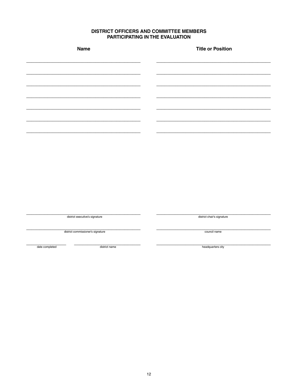# **DISTRICT OFFICERS AND COMMITTEE MEMBERS<br>PARTICIPATING IN THE EVALUATION**

| LAUTOLAUT<br>,,,,<br>. .<br>. .<br><u>.</u><br>,,,,,,,, |                            |  |  |
|---------------------------------------------------------|----------------------------|--|--|
| Name                                                    | <b>Title or Position</b>   |  |  |
|                                                         |                            |  |  |
|                                                         |                            |  |  |
|                                                         |                            |  |  |
|                                                         |                            |  |  |
|                                                         |                            |  |  |
|                                                         |                            |  |  |
|                                                         |                            |  |  |
|                                                         |                            |  |  |
|                                                         |                            |  |  |
|                                                         |                            |  |  |
|                                                         |                            |  |  |
| district executive's signature                          | district chair's signature |  |  |
|                                                         |                            |  |  |
| district commissioner's signature                       | council name               |  |  |
| date completed<br>district name                         | headquarters city          |  |  |
|                                                         |                            |  |  |
|                                                         |                            |  |  |
|                                                         |                            |  |  |
|                                                         |                            |  |  |
|                                                         |                            |  |  |
|                                                         |                            |  |  |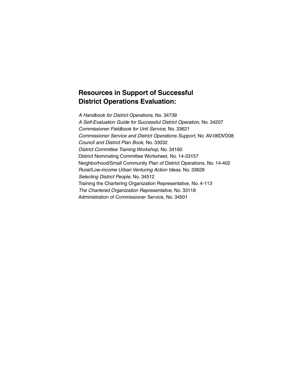# **Resources in Support of Successful District Operations Evaluation:**

*A Handbook for District Operations,* No. 34739 *A Self-Evaluation Guide for Successful District Operation,* No. 34207 *Commissioner Fieldbook for Unit Service,* No. 33621 *Commissioner Service and District Operations Support,* No. AV-06DVD08 *Council and District Plan Book,* No. 33032 *District Committee Training Workshop,* No. 34160 District Nominating Committee Worksheet, No. 14-33157 Neighborhood/Small Community Plan of District Operations, No. 14-402 *Rural/Low-income Urban Venturing Action Ideas,* No. 33628 *Selecting District People,* No. 34512 Training the Chartering Organization Representative, No. 4-113 *The Chartered Organization Representative,* No. 33118 Administration of Commissioner Service, No. 34501